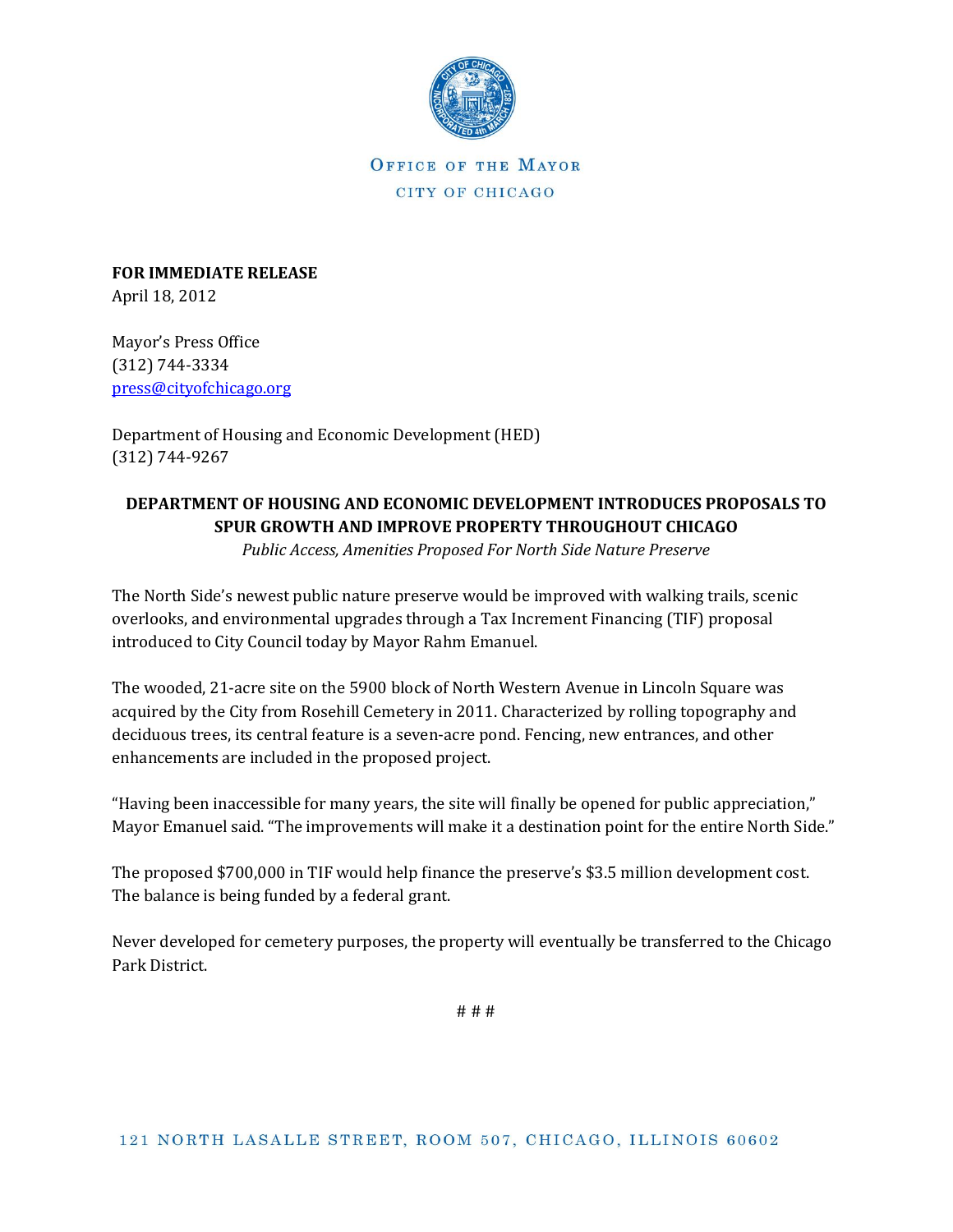

OFFICE OF THE MAYOR CITY OF CHICAGO

**FOR IMMEDIATE RELEASE** April 18, 2012

Mayor's Press Office (312) 744-3334 [press@cityofchicago.org](mailto:press@cityofchicago.org)

Department of Housing and Economic Development (HED) (312) 744-9267

# **DEPARTMENT OF HOUSING AND ECONOMIC DEVELOPMENT INTRODUCES PROPOSALS TO SPUR GROWTH AND IMPROVE PROPERTY THROUGHOUT CHICAGO**

*Public Access, Amenities Proposed For North Side Nature Preserve*

The North Side's newest public nature preserve would be improved with walking trails, scenic overlooks, and environmental upgrades through a Tax Increment Financing (TIF) proposal introduced to City Council today by Mayor Rahm Emanuel.

The wooded, 21-acre site on the 5900 block of North Western Avenue in Lincoln Square was acquired by the City from Rosehill Cemetery in 2011. Characterized by rolling topography and deciduous trees, its central feature is a seven-acre pond. Fencing, new entrances, and other enhancements are included in the proposed project.

"Having been inaccessible for many years, the site will finally be opened for public appreciation," Mayor Emanuel said. "The improvements will make it a destination point for the entire North Side."

The proposed \$700,000 in TIF would help finance the preserve's \$3.5 million development cost. The balance is being funded by a federal grant.

Never developed for cemetery purposes, the property will eventually be transferred to the Chicago Park District.

# # #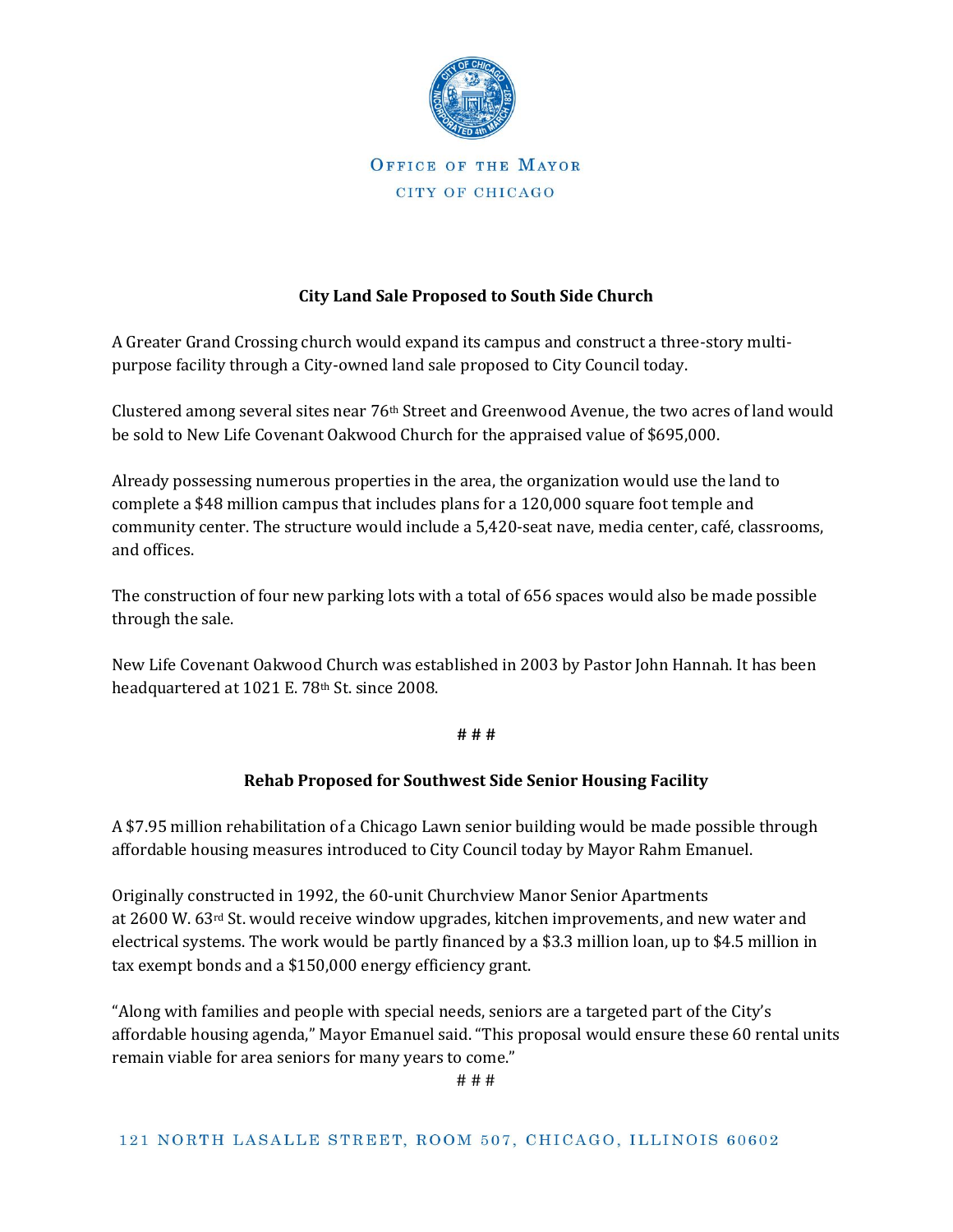

### OFFICE OF THE MAYOR CITY OF CHICAGO

## **City Land Sale Proposed to South Side Church**

A Greater Grand Crossing church would expand its campus and construct a three-story multipurpose facility through a City-owned land sale proposed to City Council today.

Clustered among several sites near 76th Street and Greenwood Avenue, the two acres of land would be sold to New Life Covenant Oakwood Church for the appraised value of \$695,000.

Already possessing numerous properties in the area, the organization would use the land to complete a \$48 million campus that includes plans for a 120,000 square foot temple and community center. The structure would include a 5,420-seat nave, media center, café, classrooms, and offices.

The construction of four new parking lots with a total of 656 spaces would also be made possible through the sale.

New Life Covenant Oakwood Church was established in 2003 by Pastor John Hannah. It has been headquartered at 1021 E. 78th St. since 2008.

#### **# # #**

#### **Rehab Proposed for Southwest Side Senior Housing Facility**

A \$7.95 million rehabilitation of a Chicago Lawn senior building would be made possible through affordable housing measures introduced to City Council today by Mayor Rahm Emanuel.

Originally constructed in 1992, the 60-unit Churchview Manor Senior Apartments at 2600 W. 63 $rd$  St. would receive window upgrades, kitchen improvements, and new water and electrical systems. The work would be partly financed by a \$3.3 million loan, up to \$4.5 million in tax exempt bonds and a \$150,000 energy efficiency grant.

"Along with families and people with special needs, seniors are a targeted part of the City's affordable housing agenda," Mayor Emanuel said. "This proposal would ensure these 60 rental units remain viable for area seniors for many years to come."

# # #